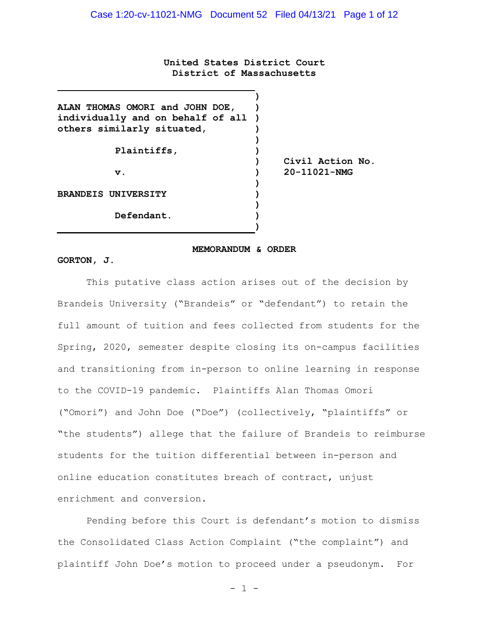**United States District Court District of Massachusetts**

| ALAN THOMAS OMORI and JOHN DOE,     |                    |
|-------------------------------------|--------------------|
| individually and on behalf of all ) |                    |
| others similarly situated,          |                    |
|                                     |                    |
| Plaintiffs,                         |                    |
|                                     | Civil Action No.   |
| $\mathbf v$ .                       | $20 - 11021 - NMG$ |
|                                     |                    |
| <b>BRANDEIS UNIVERSITY</b>          |                    |
|                                     |                    |
| Defendant.                          |                    |

#### **MEMORANDUM & ORDER**

**)**

#### **GORTON, J.**

This putative class action arises out of the decision by Brandeis University ("Brandeis" or "defendant") to retain the full amount of tuition and fees collected from students for the Spring, 2020, semester despite closing its on-campus facilities and transitioning from in-person to online learning in response to the COVID-19 pandemic. Plaintiffs Alan Thomas Omori ("Omori") and John Doe ("Doe") (collectively, "plaintiffs" or "the students") allege that the failure of Brandeis to reimburse students for the tuition differential between in-person and online education constitutes breach of contract, unjust enrichment and conversion.

Pending before this Court is defendant's motion to dismiss the Consolidated Class Action Complaint ("the complaint") and plaintiff John Doe's motion to proceed under a pseudonym. For

- 1 -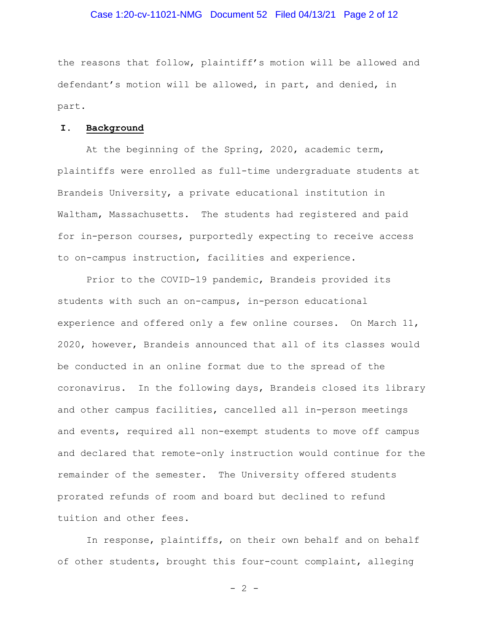## Case 1:20-cv-11021-NMG Document 52 Filed 04/13/21 Page 2 of 12

the reasons that follow, plaintiff's motion will be allowed and defendant's motion will be allowed, in part, and denied, in part.

#### **I. Background**

At the beginning of the Spring, 2020, academic term, plaintiffs were enrolled as full-time undergraduate students at Brandeis University, a private educational institution in Waltham, Massachusetts. The students had registered and paid for in-person courses, purportedly expecting to receive access to on-campus instruction, facilities and experience.

Prior to the COVID-19 pandemic, Brandeis provided its students with such an on-campus, in-person educational experience and offered only a few online courses. On March 11, 2020, however, Brandeis announced that all of its classes would be conducted in an online format due to the spread of the coronavirus. In the following days, Brandeis closed its library and other campus facilities, cancelled all in-person meetings and events, required all non-exempt students to move off campus and declared that remote-only instruction would continue for the remainder of the semester. The University offered students prorated refunds of room and board but declined to refund tuition and other fees.

In response, plaintiffs, on their own behalf and on behalf of other students, brought this four-count complaint, alleging

 $- 2 -$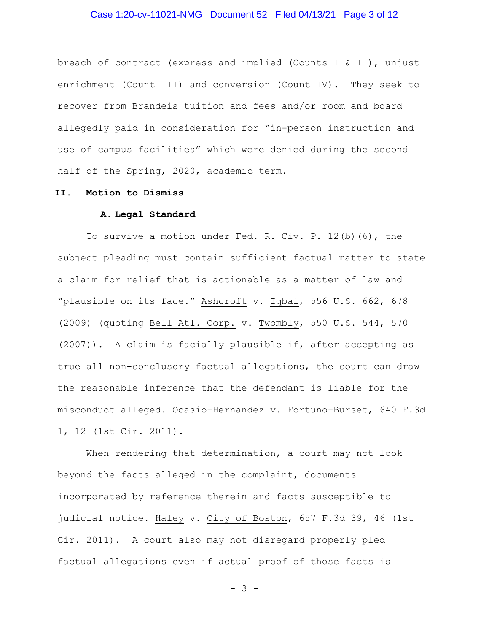# Case 1:20-cv-11021-NMG Document 52 Filed 04/13/21 Page 3 of 12

breach of contract (express and implied (Counts I & II), unjust enrichment (Count III) and conversion (Count IV). They seek to recover from Brandeis tuition and fees and/or room and board allegedly paid in consideration for "in-person instruction and use of campus facilities" which were denied during the second half of the Spring, 2020, academic term.

# **II. Motion to Dismiss**

#### **A. Legal Standard**

To survive a motion under Fed. R. Civ. P. 12(b)(6), the subject pleading must contain sufficient factual matter to state a claim for relief that is actionable as a matter of law and "plausible on its face." Ashcroft v. Iqbal, 556 U.S. 662, 678 (2009) (quoting Bell Atl. Corp. v. Twombly, 550 U.S. 544, 570 (2007)). A claim is facially plausible if, after accepting as true all non-conclusory factual allegations, the court can draw the reasonable inference that the defendant is liable for the misconduct alleged. Ocasio-Hernandez v. Fortuno-Burset, 640 F.3d 1, 12 (1st Cir. 2011).

When rendering that determination, a court may not look beyond the facts alleged in the complaint, documents incorporated by reference therein and facts susceptible to judicial notice. Haley v. City of Boston, 657 F.3d 39, 46 (1st Cir. 2011). A court also may not disregard properly pled factual allegations even if actual proof of those facts is

- 3 -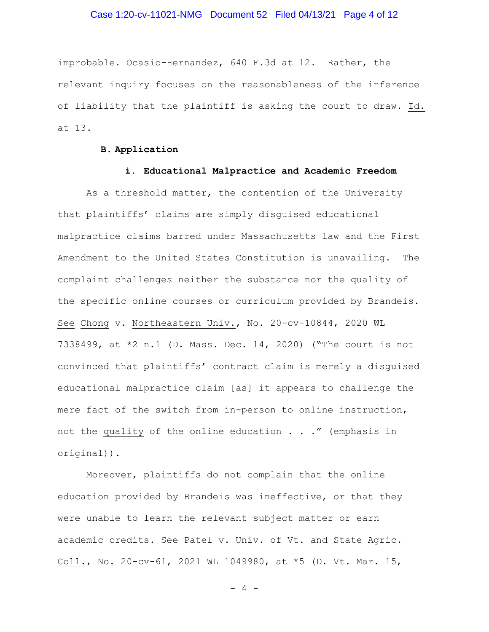# Case 1:20-cv-11021-NMG Document 52 Filed 04/13/21 Page 4 of 12

improbable. Ocasio-Hernandez, 640 F.3d at 12. Rather, the relevant inquiry focuses on the reasonableness of the inference of liability that the plaintiff is asking the court to draw. Id. at 13.

# **B. Application**

# **i. Educational Malpractice and Academic Freedom**

As a threshold matter, the contention of the University that plaintiffs' claims are simply disguised educational malpractice claims barred under Massachusetts law and the First Amendment to the United States Constitution is unavailing. The complaint challenges neither the substance nor the quality of the specific online courses or curriculum provided by Brandeis. See Chong v. Northeastern Univ., No. 20-cv-10844, 2020 WL 7338499, at \*2 n.1 (D. Mass. Dec. 14, 2020) ("The court is not convinced that plaintiffs' contract claim is merely a disguised educational malpractice claim [as] it appears to challenge the mere fact of the switch from in-person to online instruction, not the quality of the online education . . ." (emphasis in original)).

Moreover, plaintiffs do not complain that the online education provided by Brandeis was ineffective, or that they were unable to learn the relevant subject matter or earn academic credits. See Patel v. Univ. of Vt. and State Agric. Coll., No. 20-cv-61, 2021 WL 1049980, at \*5 (D. Vt. Mar. 15,

- 4 -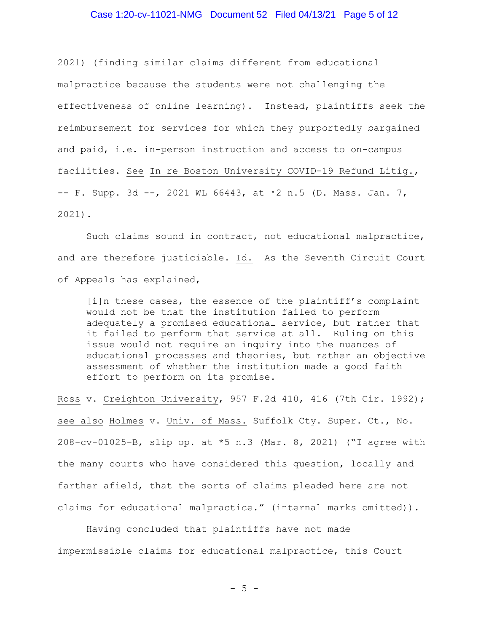## Case 1:20-cv-11021-NMG Document 52 Filed 04/13/21 Page 5 of 12

2021) (finding similar claims different from educational malpractice because the students were not challenging the effectiveness of online learning). Instead, plaintiffs seek the reimbursement for services for which they purportedly bargained and paid, i.e. in-person instruction and access to on-campus facilities. See In re Boston University COVID-19 Refund Litig.,  $-$  F. Supp. 3d  $-$ , 2021 WL 66443, at  $*$ 2 n.5 (D. Mass. Jan. 7, 2021).

Such claims sound in contract, not educational malpractice, and are therefore justiciable. Id. As the Seventh Circuit Court of Appeals has explained,

[i]n these cases, the essence of the plaintiff's complaint would not be that the institution failed to perform adequately a promised educational service, but rather that it failed to perform that service at all. Ruling on this issue would not require an inquiry into the nuances of educational processes and theories, but rather an objective assessment of whether the institution made a good faith effort to perform on its promise.

Ross v. Creighton University, 957 F.2d 410, 416 (7th Cir. 1992); see also Holmes v. Univ. of Mass. Suffolk Cty. Super. Ct., No. 208-cv-01025-B, slip op. at \*5 n.3 (Mar. 8, 2021) ("I agree with the many courts who have considered this question, locally and farther afield, that the sorts of claims pleaded here are not claims for educational malpractice." (internal marks omitted)).

Having concluded that plaintiffs have not made impermissible claims for educational malpractice, this Court

 $-5 -$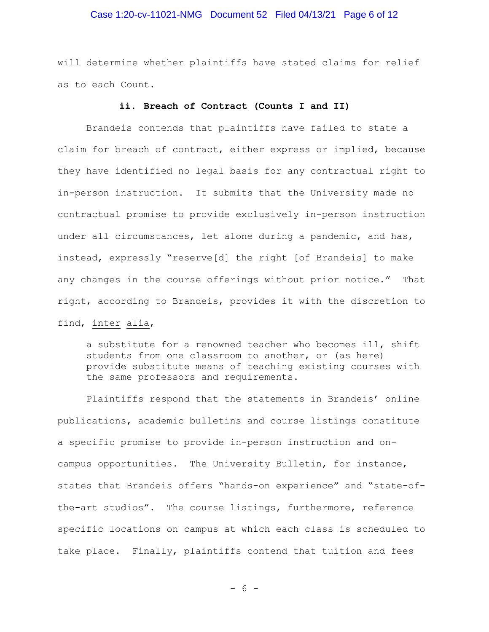# Case 1:20-cv-11021-NMG Document 52 Filed 04/13/21 Page 6 of 12

will determine whether plaintiffs have stated claims for relief as to each Count.

## **ii. Breach of Contract (Counts I and II)**

Brandeis contends that plaintiffs have failed to state a claim for breach of contract, either express or implied, because they have identified no legal basis for any contractual right to in-person instruction. It submits that the University made no contractual promise to provide exclusively in-person instruction under all circumstances, let alone during a pandemic, and has, instead, expressly "reserve[d] the right [of Brandeis] to make any changes in the course offerings without prior notice." That right, according to Brandeis, provides it with the discretion to find, inter alia,

a substitute for a renowned teacher who becomes ill, shift students from one classroom to another, or (as here) provide substitute means of teaching existing courses with the same professors and requirements.

Plaintiffs respond that the statements in Brandeis' online publications, academic bulletins and course listings constitute a specific promise to provide in-person instruction and oncampus opportunities. The University Bulletin, for instance, states that Brandeis offers "hands-on experience" and "state-ofthe-art studios". The course listings, furthermore, reference specific locations on campus at which each class is scheduled to take place. Finally, plaintiffs contend that tuition and fees

 $- 6 -$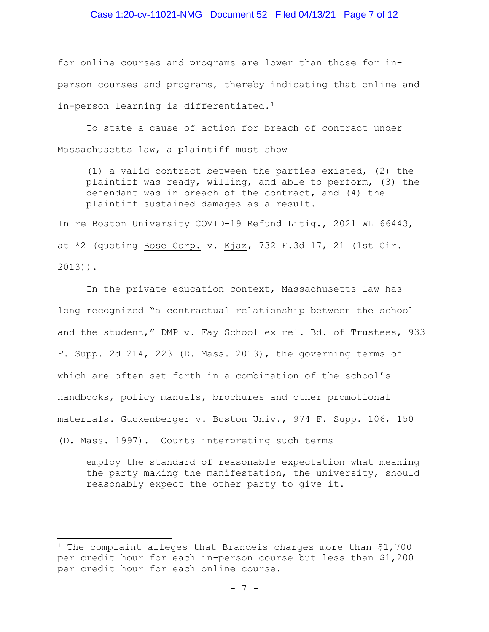### Case 1:20-cv-11021-NMG Document 52 Filed 04/13/21 Page 7 of 12

for online courses and programs are lower than those for inperson courses and programs, thereby indicating that online and in-person learning is differentiated.<sup>[1](#page-6-0)</sup>

To state a cause of action for breach of contract under Massachusetts law, a plaintiff must show

(1) a valid contract between the parties existed, (2) the plaintiff was ready, willing, and able to perform, (3) the defendant was in breach of the contract, and (4) the plaintiff sustained damages as a result.

In re Boston University COVID-19 Refund Litig., 2021 WL 66443, at \*2 (quoting Bose Corp. v. Ejaz, 732 F.3d 17, 21 (1st Cir. 2013)).

In the private education context, Massachusetts law has long recognized "a contractual relationship between the school and the student," DMP v. Fay School ex rel. Bd. of Trustees, 933 F. Supp. 2d 214, 223 (D. Mass. 2013), the governing terms of which are often set forth in a combination of the school's handbooks, policy manuals, brochures and other promotional materials. Guckenberger v. Boston Univ., 974 F. Supp. 106, 150 (D. Mass. 1997). Courts interpreting such terms

employ the standard of reasonable expectation—what meaning the party making the manifestation, the university, should reasonably expect the other party to give it.

<span id="page-6-0"></span><sup>&</sup>lt;sup>1</sup> The complaint alleges that Brandeis charges more than \$1,700 per credit hour for each in-person course but less than \$1,200 per credit hour for each online course.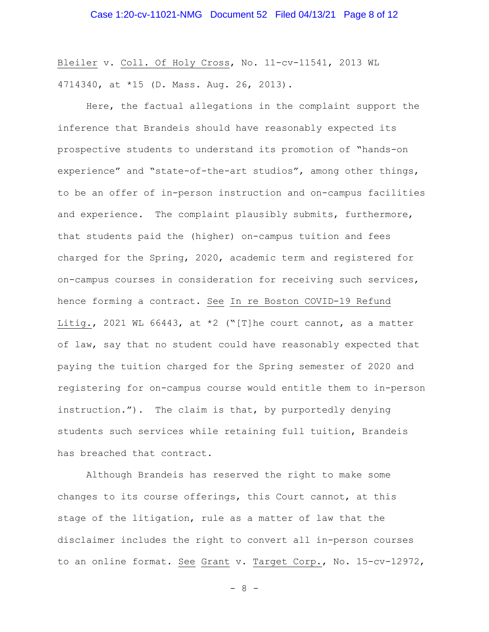Bleiler v. Coll. Of Holy Cross, No. 11-cv-11541, 2013 WL 4714340, at \*15 (D. Mass. Aug. 26, 2013).

Here, the factual allegations in the complaint support the inference that Brandeis should have reasonably expected its prospective students to understand its promotion of "hands-on experience" and "state-of-the-art studios", among other things, to be an offer of in-person instruction and on-campus facilities and experience. The complaint plausibly submits, furthermore, that students paid the (higher) on-campus tuition and fees charged for the Spring, 2020, academic term and registered for on-campus courses in consideration for receiving such services, hence forming a contract. See In re Boston COVID-19 Refund Litig., 2021 WL 66443, at  $*2$  ("[T]he court cannot, as a matter of law, say that no student could have reasonably expected that paying the tuition charged for the Spring semester of 2020 and registering for on-campus course would entitle them to in-person instruction."). The claim is that, by purportedly denying students such services while retaining full tuition, Brandeis has breached that contract.

Although Brandeis has reserved the right to make some changes to its course offerings, this Court cannot, at this stage of the litigation, rule as a matter of law that the disclaimer includes the right to convert all in-person courses to an online format. See Grant v. Target Corp., No. 15-cv-12972,

- 8 -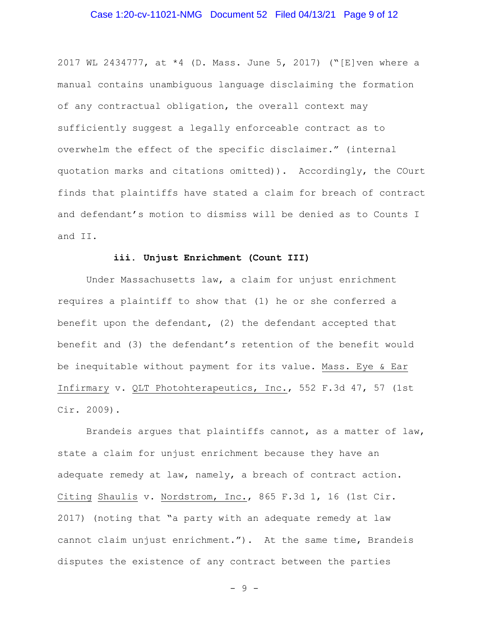# Case 1:20-cv-11021-NMG Document 52 Filed 04/13/21 Page 9 of 12

2017 WL 2434777, at \*4 (D. Mass. June 5, 2017) ("[E]ven where a manual contains unambiguous language disclaiming the formation of any contractual obligation, the overall context may sufficiently suggest a legally enforceable contract as to overwhelm the effect of the specific disclaimer." (internal quotation marks and citations omitted)). Accordingly, the COurt finds that plaintiffs have stated a claim for breach of contract and defendant's motion to dismiss will be denied as to Counts I and II.

## **iii. Unjust Enrichment (Count III)**

Under Massachusetts law, a claim for unjust enrichment requires a plaintiff to show that (1) he or she conferred a benefit upon the defendant, (2) the defendant accepted that benefit and (3) the defendant's retention of the benefit would be inequitable without payment for its value. Mass. Eye & Ear Infirmary v. QLT Photohterapeutics, Inc., 552 F.3d 47, 57 (1st Cir. 2009).

Brandeis argues that plaintiffs cannot, as a matter of law, state a claim for unjust enrichment because they have an adequate remedy at law, namely, a breach of contract action. Citing Shaulis v. Nordstrom, Inc., 865 F.3d 1, 16 (1st Cir. 2017) (noting that "a party with an adequate remedy at law cannot claim unjust enrichment."). At the same time, Brandeis disputes the existence of any contract between the parties

- 9 -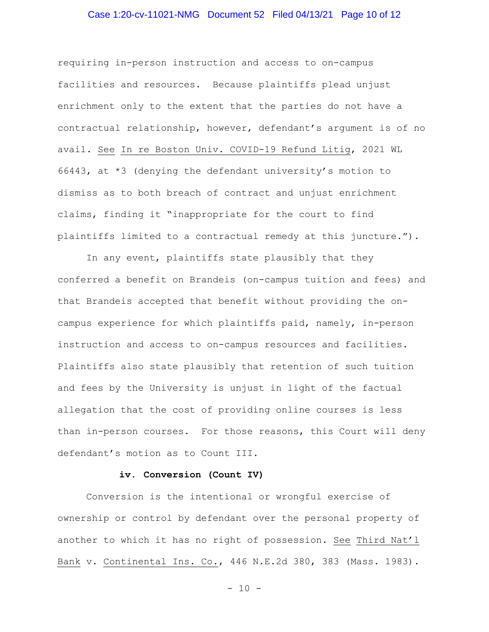# Case 1:20-cv-11021-NMG Document 52 Filed 04/13/21 Page 10 of 12

requiring in-person instruction and access to on-campus facilities and resources. Because plaintiffs plead unjust enrichment only to the extent that the parties do not have a contractual relationship, however, defendant's argument is of no avail. See In re Boston Univ. COVID-19 Refund Litig, 2021 WL 66443, at \*3 (denying the defendant university's motion to dismiss as to both breach of contract and unjust enrichment claims, finding it "inappropriate for the court to find plaintiffs limited to a contractual remedy at this juncture.").

In any event, plaintiffs state plausibly that they conferred a benefit on Brandeis (on-campus tuition and fees) and that Brandeis accepted that benefit without providing the oncampus experience for which plaintiffs paid, namely, in-person instruction and access to on-campus resources and facilities. Plaintiffs also state plausibly that retention of such tuition and fees by the University is unjust in light of the factual allegation that the cost of providing online courses is less than in-person courses. For those reasons, this Court will deny defendant's motion as to Count III.

## **iv. Conversion (Count IV)**

Conversion is the intentional or wrongful exercise of ownership or control by defendant over the personal property of another to which it has no right of possession. See Third Nat'l Bank v. Continental Ins. Co., 446 N.E.2d 380, 383 (Mass. 1983).

- 10 -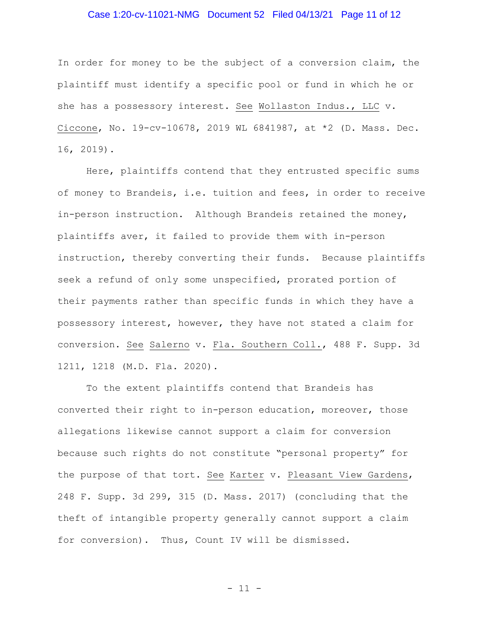# Case 1:20-cv-11021-NMG Document 52 Filed 04/13/21 Page 11 of 12

In order for money to be the subject of a conversion claim, the plaintiff must identify a specific pool or fund in which he or she has a possessory interest. See Wollaston Indus., LLC v. Ciccone, No. 19-cv-10678, 2019 WL 6841987, at \*2 (D. Mass. Dec. 16, 2019).

Here, plaintiffs contend that they entrusted specific sums of money to Brandeis, i.e. tuition and fees, in order to receive in-person instruction. Although Brandeis retained the money, plaintiffs aver, it failed to provide them with in-person instruction, thereby converting their funds. Because plaintiffs seek a refund of only some unspecified, prorated portion of their payments rather than specific funds in which they have a possessory interest, however, they have not stated a claim for conversion. See Salerno v. Fla. Southern Coll., 488 F. Supp. 3d 1211, 1218 (M.D. Fla. 2020).

To the extent plaintiffs contend that Brandeis has converted their right to in-person education, moreover, those allegations likewise cannot support a claim for conversion because such rights do not constitute "personal property" for the purpose of that tort. See Karter v. Pleasant View Gardens, 248 F. Supp. 3d 299, 315 (D. Mass. 2017) (concluding that the theft of intangible property generally cannot support a claim for conversion). Thus, Count IV will be dismissed.

- 11 -